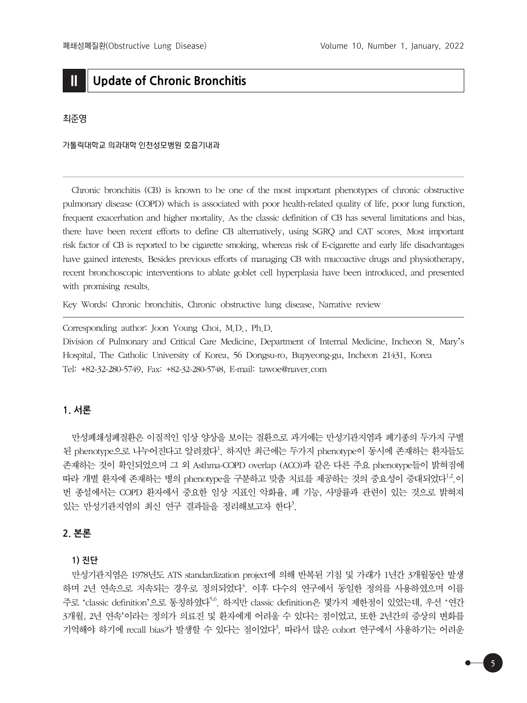# **II Update of Chronic Bronchitis**

### 최준영

가톨릭대학교 의과대학 인천성모병원 호흡기내과

 Chronic bronchitis (CB) is known to be one of the most important phenotypes of chronic obstructive pulmonary disease (COPD) which is associated with poor health-related quality of life, poor lung function, frequent exacerbation and higher mortality. As the classic definition of CB has several limitations and bias, there have been recent efforts to define CB alternatively, using SGRQ and CAT scores. Most important risk factor of CB is reported to be cigarette smoking, whereas risk of E-cigarette and early life disadvantages have gained interests. Besides previous efforts of managing CB with mucoactive drugs and physiotherapy, recent bronchoscopic interventions to ablate goblet cell hyperplasia have been introduced, and presented with promising results.

Key Words: Chronic bronchitis, Chronic obstructive lung disease, Narrative review

Corresponding author: Joon Young Choi, M.D., Ph.D.

Division of Pulmonary and Critical Care Medicine, Department of Internal Medicine, Incheon St. Mary's Hospital, The Catholic University of Korea, 56 Dongsu-ro, Bupyeong-gu, Incheon 21431, Korea Tel: +82-32-280-5749, Fax: +82-32-280-5748, E-mail: tawoe@naver.com

# **1. 서론**

 만성폐쇄성폐질환은 이질적인 임상 양상을 보이는 질환으로 과거에는 만성기관지염과 폐기종의 두가지 구별 된 phenotype으로 나누어진다고 알려졌다<sup>1</sup>. 하지만 최근에는 두가지 phenotype이 동시에 존재하는 환자들도 존재하는 것이 확인되었으며 그 외 Asthma-COPD overlap (ACO)과 같은 다른 주요 phenotype들이 밝혀짐에 따라 개별 환자에 존재하는 병의 phenotype을 구분하고 맞춤 치료를 제공하는 것의 중요성이 증대되었다<sup>1,2</sup>.이 번 종설에서는 COPD 환자에서 중요한 임상 지표인 악화율, 폐 기능, 사망률과 관련이 있는 것으로 밝혀져 있는 만성기관지염의 최신 연구 결과들을 정리해보고자 한다<sup>3</sup>.

# **2. 본론**

### **1) 진단**

 만성기관지염은 1978년도 ATS standardization project에 의해 반복된 기침 및 가래가 1년간 3개월동안 발생 하며 2년 연속으로 지속되는 경우로 정의되었다<sup>4</sup>. 이후 다수의 연구에서 동일한 정의를 사용하였으며 이를 주로 'classic definition'으로 통칭하였다<sup>5,6</sup>. 하지만 classic definition은 몇가지 제하점이 있었는데, 우선 '연간 3개월, 2년 연속'이라는 정의가 의료진 및 환자에게 어려울 수 있다는 점이었고, 또한 2년간의 증상의 변화를 기억해야 하기에 recall bias가 발생할 수 있다는 점이었다<sup>3</sup>. 따라서 많은 cohort 연구에서 사용하기는 어려운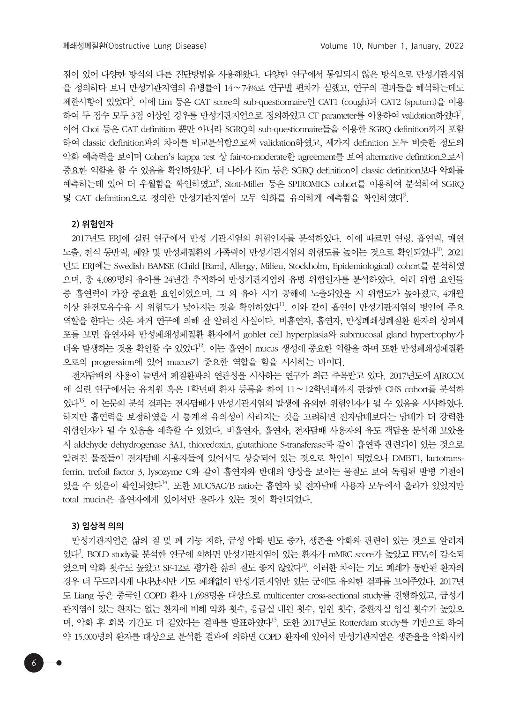점이 있어 다양한 방식의 다른 진단방법을 사용해왔다. 다양한 연구에서 통일되지 않은 방식으로 만성기관지염 을 정의하다 보니 만성기관지염의 유병률이 14∼74%로 연구별 편차가 심했고, 연구의 결과들을 해석하는데도 제한사항이 있었다<sup>3</sup>. 이에 Lim 등은 CAT score의 sub-questionnaire인 CAT1 (cough)과 CAT2 (sputum)을 이용 하여 두 점수 모두 3점 이상인 경우를 만성기관지염으로 정의하였고 CT parameter를 이용하여 validation하였다? 이어 Choi 등은 CAT definition 뿐만 아니라 SGRQ의 sub-questionnaire들을 이용한 SGRQ definition까지 포함 하여 classic definition과의 차이를 비교분석함으로써 validation하였고, 세가지 definition 모두 비슷한 정도의 악화 예측력을 보이며 Cohen's kappa test 상 fair-to-moderate한 agreement를 보여 alternative definition으로서 중요한 역할을 할 수 있음을 확인하였다<sup>3</sup>. 더 나아가 Kim 등은 SGRQ definition이 classic definition보다 악화를 예측하는데 있어 더 우월함을 확인하였고8, Stott-Miller 등은 SPIROMICS cohort를 이용하여 분석하여 SGRQ 및 CAT definition으로 정의한 만성기관지염이 모두 악화를 유의하게 예측함을 확인하였다?.

#### **2) 위험인자**

 2017년도 ERJ에 실린 연구에서 만성 기관지염의 위험인자를 분석하였다. 이에 따르면 연령, 흡연력, 매연 노출, 천식 동반력, 폐암 및 만성폐질환의 가족력이 만성기관지염의 위험도를 높이는 것으로 확인되었다<sup>10</sup>. 2021 년도 ERJ에는 Swedish BAMSE (Child [Barn], Allergy, Milieu, Stockholm, Epidemiological) cohort를 분석하였 으며, 총 4,089명의 유아를 24년간 추적하여 만성기관지염의 유병 위험인자를 분석하였다. 여러 위험 요인들 중 흡연력이 가장 중요한 요인이었으며, 그 외 유아 시기 공해에 노출되었을 시 위험도가 높아졌고, 4개월 이상 완전모유수유 시 위험도가 낮아지는 것을 확인하였다<sup>11</sup>. 이와 같이 흡연이 만성기관지염의 병인에 주요 역할을 한다는 것은 과거 연구에 의해 잘 알려진 사실이다. 비흡연자, 흡연자, 만성폐쇄성폐질환 환자의 상피세 포를 보면 흡연자와 만성폐쇄성폐질환 환자에서 goblet cell hyperplasia와 submucosal gland hypertrophy가 더욱 발생하는 것을 확인할 수 있었다<sup>12</sup>. 이는 흡연이 mucus 생성에 중요한 역할을 하며 또한 만성폐쇄성폐질환 으로의 progression에 있어 mucus가 중요한 역할을 함을 시사하는 바이다.

 전자담배의 사용이 늘면서 폐질환과의 연관성을 시사하는 연구가 최근 주목받고 있다. 2017년도에 AJRCCM 에 실린 연구에서는 유치원 혹은 1학년때 환자 등록을 하여 11∼12학년때까지 관찰한 CHS cohort를 분석하 였다13. 이 논문의 분석 결과는 전자담배가 만성기관지염의 발생에 유의한 위험인자가 될 수 있음을 시사하였다. 하지만 흡연력을 보정하였을 시 통계적 유의성이 사라지는 것을 고려하면 전자담배보다는 담배가 더 강력한 위험인자가 될 수 있음을 예측할 수 있었다. 비흡연자, 흡연자, 전자담배 사용자의 유도 객담을 분석해 보았을 시 aldehyde dehydrogenase 3A1, thioredoxin, glutathione S-transferase과 같이 흡연과 관련되어 있는 것으로 알려진 물질들이 전자담배 사용자들에 있어서도 상승되어 있는 것으로 확인이 되었으나 DMBT1, lactotransferrin, trefoil factor 3, lysozyme C와 같이 흡연자와 반대의 양상을 보이는 물질도 보여 독립된 발병 기전이 있을 수 있음이 확인되었다 $^{14}$ . 또한 MUC5AC/B ratio는 흡연자 및 전자담배 사용자 모두에서 올라가 있었지만 total mucin은 흡연자에게 있어서만 올라가 있는 것이 확인되었다.

#### **3) 임상적 의의**

 만성기관지염은 삶의 질 및 폐 기능 저하, 급성 악화 빈도 증가, 생존율 악화와 관련이 있는 것으로 알려져 있다<sup>3</sup>. BOLD study를 분석한 연구에 의하면 만성기관지염이 있는 환자가 mMRC score가 높았고 FEV1이 감소되 었으며 악화 횟수도 높았고 SF-12로 평가한 삶의 질도 좋지 않았다 $^{10}$ . 이러한 차이는 기도 폐쇄가 동반된 환자의 경우 더 두드러지게 나타났지만 기도 폐쇄없이 만성기관지염만 있는 군에도 유의한 결과를 보여주었다. 2017년 도 Liang 등은 중국인 COPD 환자 1,698명을 대상으로 multicenter cross-sectional study를 진행하였고, 급성기 관지염이 있는 환자는 없는 환자에 비해 악화 횟수, 응급실 내원 횟수, 입원 횟수, 중환자실 입실 횟수가 높았으 며, 악화 후 회복 기간도 더 길었다는 결과를 발표하였다<sup>15</sup>. 또한 2017년도 Rotterdam study를 기반으로 하여 약 15,000명의 환자를 대상으로 분석한 결과에 의하면 COPD 환자에 있어서 만성기관지염은 생존율을 악화시키

6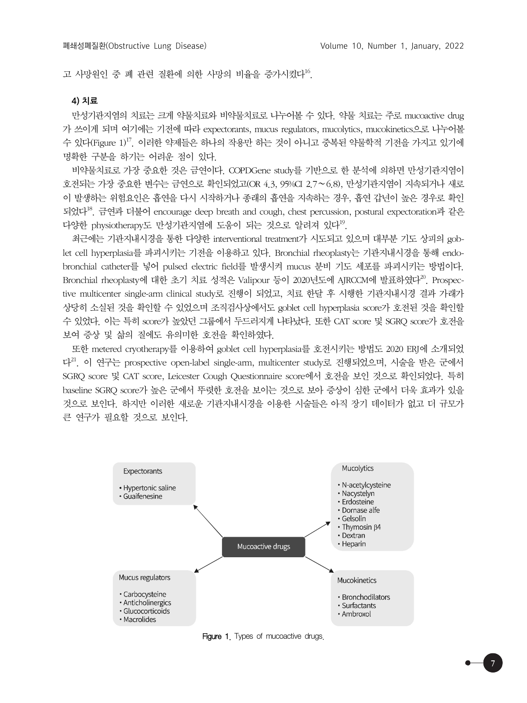고 사망워인 중 폐 관련 질환에 의한 사망의 비율을 증가시켰다<sup>16</sup>.

#### **4) 치료**

 만성기관지염의 치료는 크게 약물치료와 비약물치료로 나누어볼 수 있다. 약물 치료는 주로 mucoactive drug 가 쓰이게 되며 여기에는 기전에 따라 expectorants, mucus regulators, mucolytics, mucokinetics으로 나누어볼 수 있다(Figure 1)<sup>17</sup>. 이러한 약제들은 하나의 작용만 하는 것이 아니고 중복된 약물학적 기전을 가지고 있기에 명확한 구분을 하기는 어려운 점이 있다.

 비약물치료로 가장 중요한 것은 금연이다. COPDGene study를 기반으로 한 분석에 의하면 만성기관지염이 호전되는 가장 중요한 변수는 금연으로 확인되었고(OR 4.3, 95%CI 2.7∼6.8), 만성기관지염이 지속되거나 새로 이 발생하는 위험요인은 흡연을 다시 시작하거나 종래의 흡연을 지속하는 경우, 흡연 갑년이 높은 경우로 확인 되었다18. 금연과 더불어 encourage deep breath and cough, chest percussion, postural expectoration과 같은 다양한 physiotherapy도 만성기관지염에 도움이 되는 것으로 알려져 있다 $^{19}$ .

 최근에는 기관지내시경을 통한 다양한 interventional treatment가 시도되고 있으며 대부분 기도 상피의 goblet cell hyperplasia를 파괴시키는 기전을 이용하고 있다. Bronchial rheoplasty는 기관지내시경을 통해 endobronchial catheter를 넣어 pulsed electric field를 발생시켜 mucus 분비 기도 세포를 파괴시키는 방법이다. Bronchial rheoplasty에 대한 초기 치료 성적은 Valipour 등이 2020년도에 AJRCCM에 발표하였다<sup>20</sup>. Prospective multicenter single-arm clinical study로 진행이 되었고, 치료 한달 후 시행한 기관지내시경 결과 가래가 상당히 소실된 것을 확인할 수 있었으며 조직검사상에서도 goblet cell hyperplasia score가 호전된 것을 확인할 수 있었다. 이는 특히 score가 높았던 그룹에서 두드러지게 나타났다. 또한 CAT score 및 SGRQ score가 호전을 보여 증상 및 삶의 질에도 유의미한 호전을 확인하였다.

 또한 metered cryotherapy를 이용하여 goblet cell hyperplasia를 호전시키는 방법도 2020 ERJ에 소개되었 다21. 이 연구는 prospective open-label single-arm, multicenter study로 진행되었으며, 시술을 받은 군에서 SGRQ score 및 CAT score, Leicester Cough Questionnaire score에서 호전을 보인 것으로 확인되었다. 특히 baseline SGRQ score가 높은 군에서 뚜렷한 호전을 보이는 것으로 보아 증상이 심한 군에서 더욱 효과가 있을 것으로 보인다. 하지만 이러한 새로운 기관지내시경을 이용한 시술들은 아직 장기 데이터가 없고 더 규모가 큰 연구가 필요할 것으로 보인다.



Figure 1. Types of mucoactive drugs.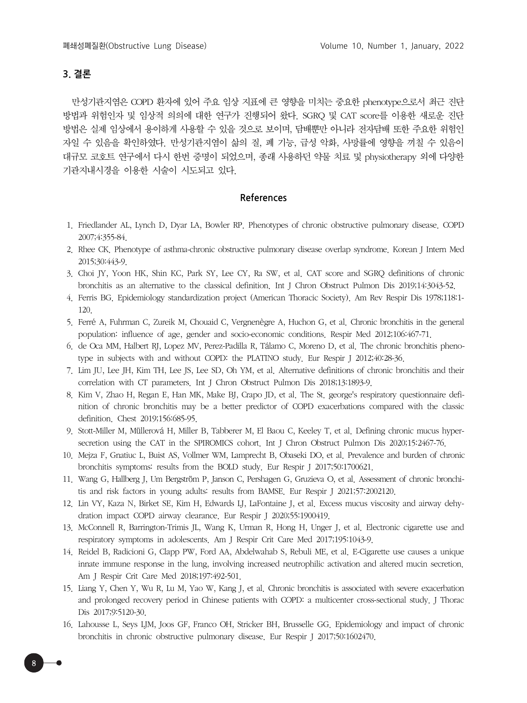## **3. 결론**

 만성기관지염은 COPD 환자에 있어 주요 임상 지표에 큰 영향을 미치는 중요한 phenotype으로서 최근 진단 방법과 위험인자 및 임상적 의의에 대한 연구가 진행되어 왔다. SGRQ 및 CAT score를 이용한 새로운 진단 방법은 실제 임상에서 용이하게 사용할 수 있을 것으로 보이며, 담배뿐만 아니라 전자담배 또한 주요한 위험인 자일 수 있음을 확인하였다. 만성기관지염이 삶의 질, 폐 기능, 급성 악화, 사망률에 영향을 끼칠 수 있음이 대규모 코호트 연구에서 다시 한번 증명이 되었으며, 종래 사용하던 약물 치료 및 physiotherapy 외에 다양한 기관지내시경을 이용한 시술이 시도되고 있다.

### **References**

- 1. Friedlander AL, Lynch D, Dyar LA, Bowler RP. Phenotypes of chronic obstructive pulmonary disease. COPD 2007;4:355-84.
- 2. Rhee CK. Phenotype of asthma-chronic obstructive pulmonary disease overlap syndrome. Korean J Intern Med 2015;30:443-9.
- 3. Choi JY, Yoon HK, Shin KC, Park SY, Lee CY, Ra SW, et al. CAT score and SGRQ definitions of chronic bronchitis as an alternative to the classical definition. Int J Chron Obstruct Pulmon Dis 2019;14:3043-52.
- 4. Ferris BG. Epidemiology standardization project (American Thoracic Society). Am Rev Respir Dis 1978;118:1- 120.
- 5. Ferré A, Fuhrman C, Zureik M, Chouaid C, Vergnenègre A, Huchon G, et al. Chronic bronchitis in the general population: influence of age, gender and socio-economic conditions. Respir Med 2012;106:467-71.
- 6. de Oca MM, Halbert RJ, Lopez MV, Perez-Padilla R, Tálamo C, Moreno D, et al. The chronic bronchitis phenotype in subjects with and without COPD: the PLATINO study. Eur Respir J 2012;40:28-36.
- 7. Lim JU, Lee JH, Kim TH, Lee JS, Lee SD, Oh YM, et al. Alternative definitions of chronic bronchitis and their correlation with CT parameters. Int J Chron Obstruct Pulmon Dis 2018;13:1893-9.
- 8. Kim V, Zhao H, Regan E, Han MK, Make BJ, Crapo JD, et al. The St. george's respiratory questionnaire definition of chronic bronchitis may be a better predictor of COPD exacerbations compared with the classic definition. Chest 2019;156:685-95.
- 9. Stott-Miller M, Müllerová H, Miller B, Tabberer M, El Baou C, Keeley T, et al. Defining chronic mucus hypersecretion using the CAT in the SPIROMICS cohort. Int J Chron Obstruct Pulmon Dis 2020;15:2467-76.
- 10. Mejza F, Gnatiuc L, Buist AS, Vollmer WM, Lamprecht B, Obaseki DO, et al. Prevalence and burden of chronic bronchitis symptoms: results from the BOLD study. Eur Respir J 2017;50:1700621.
- 11. Wang G, Hallberg J, Um Bergström P, Janson C, Pershagen G, Gruzieva O, et al. Assessment of chronic bronchitis and risk factors in young adults: results from BAMSE. Eur Respir J 2021;57:2002120.
- 12. Lin VY, Kaza N, Birket SE, Kim H, Edwards LJ, LaFontaine J, et al. Excess mucus viscosity and airway dehydration impact COPD airway clearance. Eur Respir J 2020;55:1900419.
- 13. McConnell R, Barrington-Trimis JL, Wang K, Urman R, Hong H, Unger J, et al. Electronic cigarette use and respiratory symptoms in adolescents. Am J Respir Crit Care Med 2017;195:1043-9.
- 14. Reidel B, Radicioni G, Clapp PW, Ford AA, Abdelwahab S, Rebuli ME, et al. E-Cigarette use causes a unique innate immune response in the lung, involving increased neutrophilic activation and altered mucin secretion. Am J Respir Crit Care Med 2018;197:492-501.
- 15. Liang Y, Chen Y, Wu R, Lu M, Yao W, Kang J, et al. Chronic bronchitis is associated with severe exacerbation and prolonged recovery period in Chinese patients with COPD: a multicenter cross-sectional study. J Thorac Dis 2017;9:5120-30.
- 16. Lahousse L, Seys LJM, Joos GF, Franco OH, Stricker BH, Brusselle GG. Epidemiology and impact of chronic bronchitis in chronic obstructive pulmonary disease. Eur Respir J 2017;50:1602470.

8